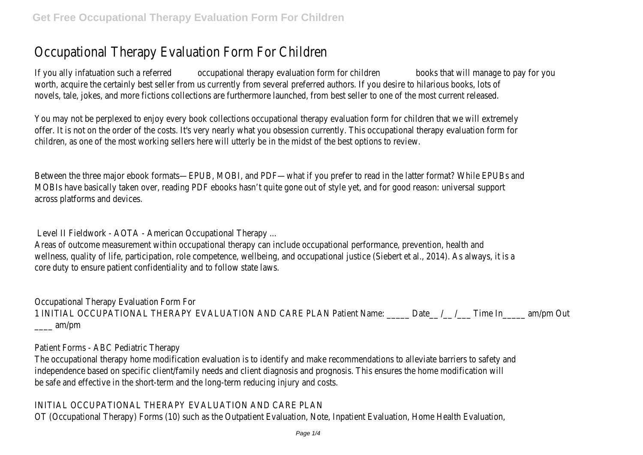# Occupational Therapy Evaluation Form For Children

If you ally infatuation such a referred **occupational therapy evaluation form for children** books that will manage to pay for you worth, acquire the certainly best seller from us currently from several preferred authors. If you desire to hilarious books, lots of novels, tale, jokes, and more fictions collections are furthermore launched, from best seller to one of the most current released.

You may not be perplexed to enjoy every book collections occupational therapy evaluation form for children that we will extremely offer. It is not on the order of the costs. It's very nearly what you obsession currently. This occupational therapy evaluation form for children, as one of the most working sellers here will utterly be in the midst of the best options to review.

Between the three major ebook formats—EPUB, MOBI, and PDF—what if you prefer to read in the latter format? While EPUBs and MOBIs have basically taken over, reading PDF ebooks hasn't quite gone out of style yet, and for good reason: universal support across platforms and devices.

Level II Fieldwork - AOTA - American Occupational Therapy ...

Areas of outcome measurement within occupational therapy can include occupational performance, prevention, health and wellness, quality of life, participation, role competence, wellbeing, and occupational justice (Siebert et al., 2014). As always, it is a core duty to ensure patient confidentiality and to follow state laws.

Occupational Therapy Evaluation Form For 1 INITIAL OCCUPATIONAL THERAPY EVALUATION AND CARE PLAN Patient Name: \_\_\_\_\_ Date\_\_ /\_\_ /\_\_\_ Time In\_\_\_\_\_ am/pm Out \_\_\_\_ am/pm

Patient Forms - ABC Pediatric Therapy

The occupational therapy home modification evaluation is to identify and make recommendations to alleviate barriers to safety and independence based on specific client/family needs and client diagnosis and prognosis. This ensures the home modification will be safe and effective in the short-term and the long-term reducing injury and costs.

INITIAL OCCUPATIONAL THERAPY EVALUATION AND CARE PLAN

OT (Occupational Therapy) Forms (10) such as the Outpatient Evaluation, Note, Inpatient Evaluation, Home Health Evaluation,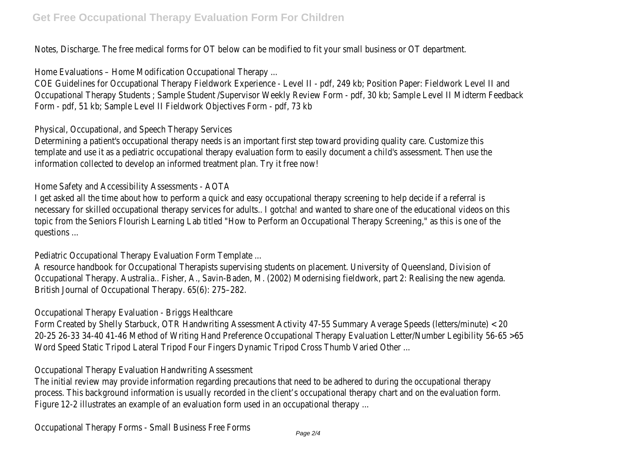Notes, Discharge. The free medical forms for OT below can be modified to fit your small business or OT department.

Home Evaluations – Home Modification Occupational Therapy ...

COE Guidelines for Occupational Therapy Fieldwork Experience - Level II - pdf, 249 kb; Position Paper: Fieldwork Level II and Occupational Therapy Students ; Sample Student /Supervisor Weekly Review Form - pdf, 30 kb; Sample Level II Midterm Feedback Form - pdf, 51 kb; Sample Level II Fieldwork Objectives Form - pdf, 73 kb

Physical, Occupational, and Speech Therapy Services

Determining a patient's occupational therapy needs is an important first step toward providing quality care. Customize this template and use it as a pediatric occupational therapy evaluation form to easily document a child's assessment. Then use the information collected to develop an informed treatment plan. Try it free now!

### Home Safety and Accessibility Assessments - AOTA

I get asked all the time about how to perform a quick and easy occupational therapy screening to help decide if a referral is necessary for skilled occupational therapy services for adults.. I gotcha! and wanted to share one of the educational videos on this topic from the Seniors Flourish Learning Lab titled "How to Perform an Occupational Therapy Screening," as this is one of the questions ...

Pediatric Occupational Therapy Evaluation Form Template ...

A resource handbook for Occupational Therapists supervising students on placement. University of Queensland, Division of Occupational Therapy. Australia.. Fisher, A., Savin-Baden, M. (2002) Modernising fieldwork, part 2: Realising the new agenda. British Journal of Occupational Therapy. 65(6): 275–282.

Occupational Therapy Evaluation - Briggs Healthcare

Form Created by Shelly Starbuck, OTR Handwriting Assessment Activity 47-55 Summary Average Speeds (letters/minute) < 20 20-25 26-33 34-40 41-46 Method of Writing Hand Preference Occupational Therapy Evaluation Letter/Number Legibility 56-65 >65 Word Speed Static Tripod Lateral Tripod Four Fingers Dynamic Tripod Cross Thumb Varied Other ...

### Occupational Therapy Evaluation Handwriting Assessment

The initial review may provide information regarding precautions that need to be adhered to during the occupational therapy process. This background information is usually recorded in the client's occupational therapy chart and on the evaluation form. Figure 12-2 illustrates an example of an evaluation form used in an occupational therapy ...

Occupational Therapy Forms - Small Business Free Forms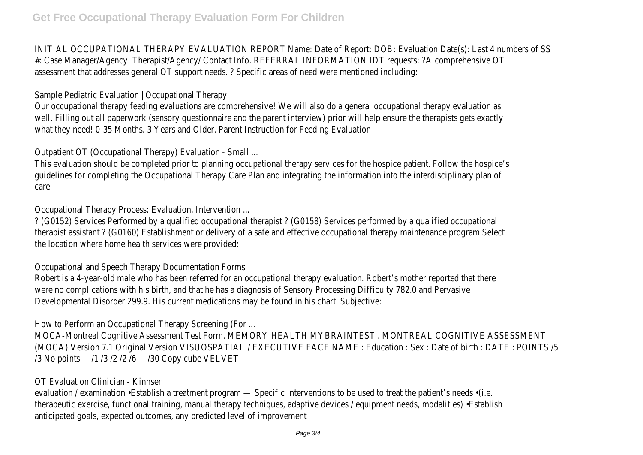INITIAL OCCUPATIONAL THERAPY EVALUATION REPORT Name: Date of Report: DOB: Evaluation Date(s): Last 4 numbers of SS #: Case Manager/Agency: Therapist/Agency/ Contact Info. REFERRAL INFORMATION IDT requests: ?A comprehensive OT assessment that addresses general OT support needs. ? Specific areas of need were mentioned including:

Sample Pediatric Evaluation | Occupational Therapy

Our occupational therapy feeding evaluations are comprehensive! We will also do a general occupational therapy evaluation as well. Filling out all paperwork (sensory questionnaire and the parent interview) prior will help ensure the therapists gets exactly what they need! 0-35 Months. 3 Years and Older. Parent Instruction for Feeding Evaluation

Outpatient OT (Occupational Therapy) Evaluation - Small ...

This evaluation should be completed prior to planning occupational therapy services for the hospice patient. Follow the hospice's guidelines for completing the Occupational Therapy Care Plan and integrating the information into the interdisciplinary plan of care.

Occupational Therapy Process: Evaluation, Intervention ...

? (G0152) Services Performed by a qualified occupational therapist ? (G0158) Services performed by a qualified occupational therapist assistant ? (G0160) Establishment or delivery of a safe and effective occupational therapy maintenance program Select the location where home health services were provided:

Occupational and Speech Therapy Documentation Forms

Robert is a 4-year-old male who has been referred for an occupational therapy evaluation. Robert's mother reported that there were no complications with his birth, and that he has a diagnosis of Sensory Processing Difficulty 782.0 and Pervasive Developmental Disorder 299.9. His current medications may be found in his chart. Subjective:

How to Perform an Occupational Therapy Screening (For ...

MOCA-Montreal Cognitive Assessment Test Form. MEMORY HEALTH MYBRAINTEST . MONTREAL COGNITIVE ASSESSMENT (MOCA) Version 7.1 Original Version VISUOSPATIAL / EXECUTIVE FACE NAME : Education : Sex : Date of birth : DATE : POINTS /5 /3 No points —/1 /3 /2 /2 /6 —/30 Copy cube VELVET

#### OT Evaluation Clinician - Kinnser

evaluation / examination •Establish a treatment program — Specific interventions to be used to treat the patient's needs •(i.e. therapeutic exercise, functional training, manual therapy techniques, adaptive devices / equipment needs, modalities) •Establish anticipated goals, expected outcomes, any predicted level of improvement